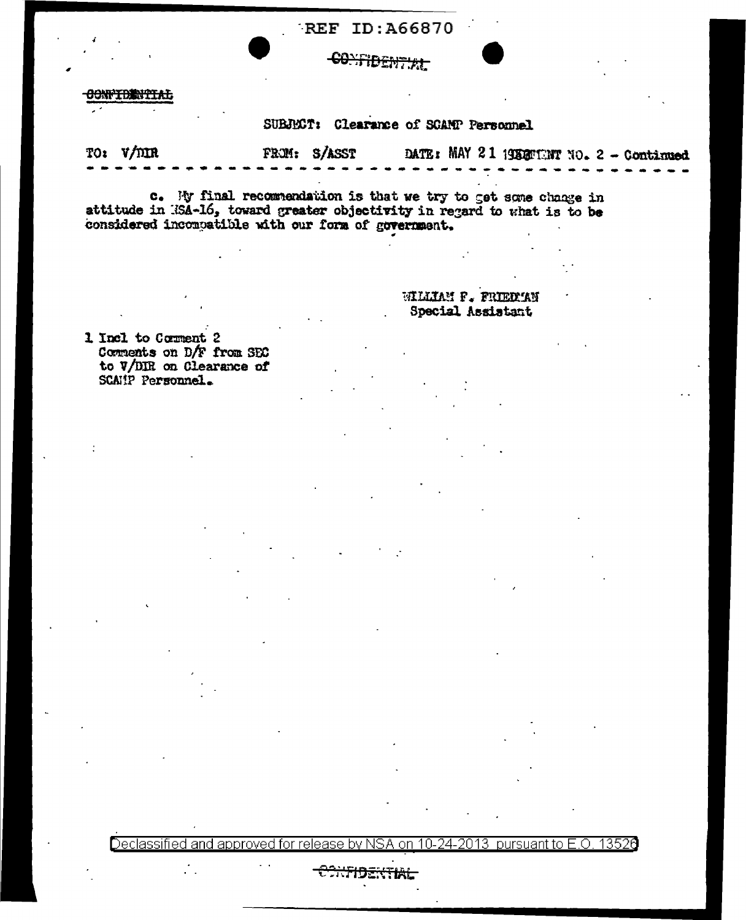## **REF ID: A66870**

# CONFIDENTIAL

#### **CONFIDENTIAL**

## SUBJECT: Clearance of SCAMP Personnel

DATE: MAY 21 1953TENT NO. 2 - Continued TO:  $V/mR$ FROM: S/ASST

c. My final recommendation is that we try to get some change in attitude in 18A-16, toward greater objectivity in regard to what is to be considered incompatible with our form of government.

> WILLIAM F. FRIEDIAN Special Assistant

1 Incl to Corment 2 Comments on D/F from SEC to V/DIR on Clearance of SCAMP Personnel.

 $\mathcal{L}_{\mathcal{A}}$ 

Declassified and approved for release by NSA on 10-24-2013  $\,$  pursuant to E.O. 13526

## id<del>ential</del>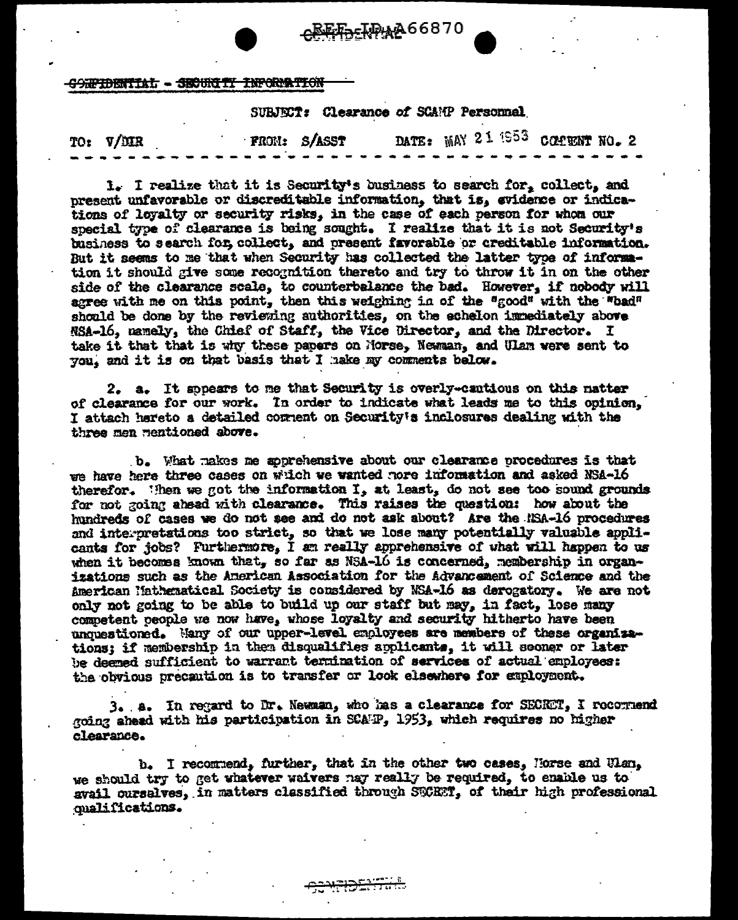REE-IDAA66870

CONFIDENTIAL - SECURITY INFORMATION

SUBJECT: Clearance of SCAMP Personnal

DATE: MAY 21 1953 COMMENT NO. 2 TO: V/DIR FROM: S/ASST

1. I realize that it is Security's business to search for, collect, and present unfavorable or discreditable information, that is, evidence or indications of loyalty or security risks, in the case of each person for whom our special type of clearance is being sought. I realize that it is not Security's business to search for collect, and present favorable or creditable information. But it seems to me that when Security has collected the latter type of information it should give some recognition thereto and try to throw it in on the other side of the clearance scale, to counterbalance the bad. However, if nobody will agree with me on this point, then this weighing in of the "good" with the "bad" should be done by the reviewing authorities, on the achelon immediately above NSA-16, namely, the Chief of Staff, the Vice Director, and the Director. I take it that that is why these papers on Morse, Newman, and Ulam were sent to you, and it is on that basis that I hake my comments below.

2. a. It sppears to me that Security is overly-cantious on this natter of clearance for our work. In order to indicate what leads me to this opinion. I attach hereto a detailed comment on Security's inclosures dealing with the three men mentioned above.

b. What makes me apprehensive about our clearance procedures is that we have here three cases on wilch we wanted nore information and asked NSA-16 therefor. Then we got the information I, at least, do not see too sound grounds for not going ahead with clearance. This raises the question: how about the hundreds of cases we do not see and do not ask about? Are the NSA-16 procedures and interpretations too strict, so that we lose many potentially valuable appli-cants for jobs? Furthermore, I am really apprehensive of what will happen to us when it becomes known that, so far as NSA-16 is concerned, membership in organizations such as the American Association for the Advancement of Science and the American Mathematical Society is considered by NSA-16 as derogatory. We are not only not going to be able to build up our staff but may, in fact, lose many competent people we now have, whose loyalty and security hitherto have been unquestioned. Many of our upper-level employees are members of these organizations: if membership in then disqualifies applicants, it will seemer or later be deemed sufficient to warrant termination of services of actual employees: the obvious precaution is to transfer or look elsewhere for exployment.

3. A. In regard to Dr. Newman, who has a clearance for SECRET, I recognend going ahead with his participation in SCAFP, 1953, which requires no higher clearance.

b. I recommend, further, that in the other two cases, Horse and Ulan, we should try to get whatever waivers nay really be required, to enable us to avail oursalves, in matters classified through SECRT. of their high professional qualifications.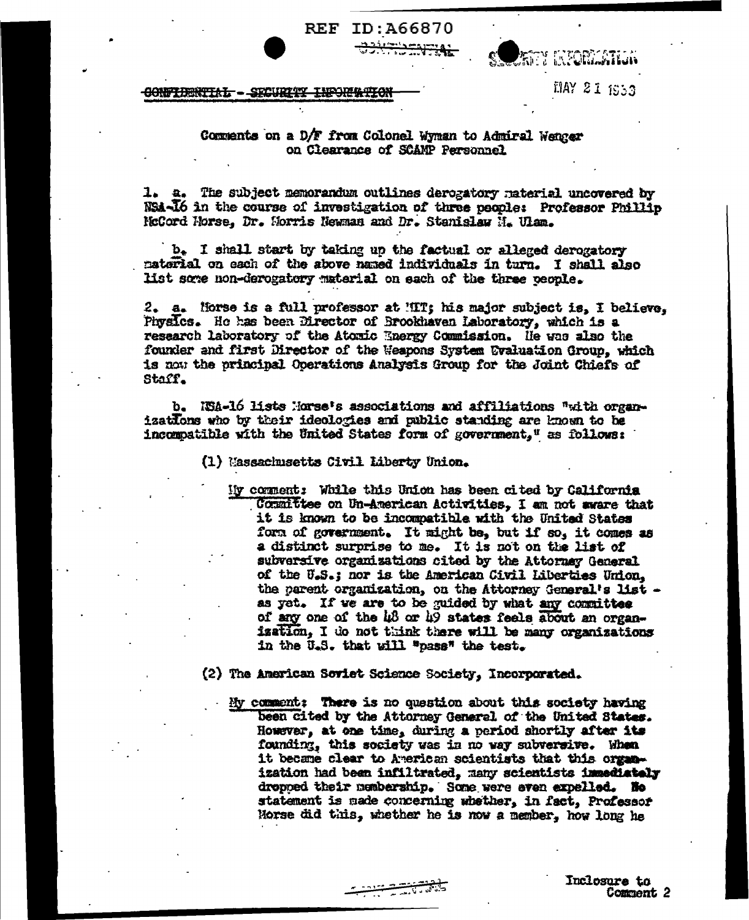**REF ID: A66870** 



MAY 21 1953

#### CONFIDENTIAL - SECURITY INFORMATION

## Comments on a D/F from Colonel Wyman to Admiral Wenger on Clearance of SCAMP Personnel

1. a. The subject memorandum outlines derogatory material uncovered by NSA-16 in the course of investigation of three people: Professor Phillip NoCord Norse, Dr. Norris Newman and Dr. Stanislaw N. Ulam.

b. I shall start by taking up the factual or alleged derogatory material on each of the above named individuals in turn. I shall also list some non-derogatory material on each of the three ceople.

2. a. Horse is a full professor at MIT; his major subject is, I believe, Physics. He has been Director of Brookhaven Laboratory, which is a research laboratory of the Atomic Energy Commission. He was also the founder and first Director of the Weapons System Evaluation Group, which is now the principal Operations Analysis Group for the Joint Chiefs of Staff.

b. ISA-16 lists Morse's associations and affiliations "with organizations who by their ideologies and public standing are known to be incompatible with the United States form of government," as follows:

(1) Massachusetts Civil Liberty Union.

My comment: While this Union has been cited by California Committee on Un-American Activities, I am not aware that it is known to be incompatible with the United States form of government. It might be, but if so, it comes as a distinct surprise to me. It is not on the list of subversive organizations cited by the Attorney General of the U.S.; nor is the American Civil Liberties Union. the parent organization, on the Attorney General's list as yet. If we are to be guided by what any committee of any one of the 48 or 49 states feels about an organization. I do not think there will be many organizations in the U.S. that will "pass" the test.

(2) The American Soviet Science Society, Incorporated.

يوسى سىنىپىتى<br>ئالاستانسىيە ئېيىسىتى

My comment: There is no question about this society having been cited by the Attorney General of the United States. However, at one time, during a period shortly after its founding, this society was in no way subversive. When it became clear to American scientists that this organization had been infiltrated, many scientists immediately dropped their membership. Some were even expelled. No statement is made concerning whether, in fact, Professor Morse did this, whether he is now a member, how long he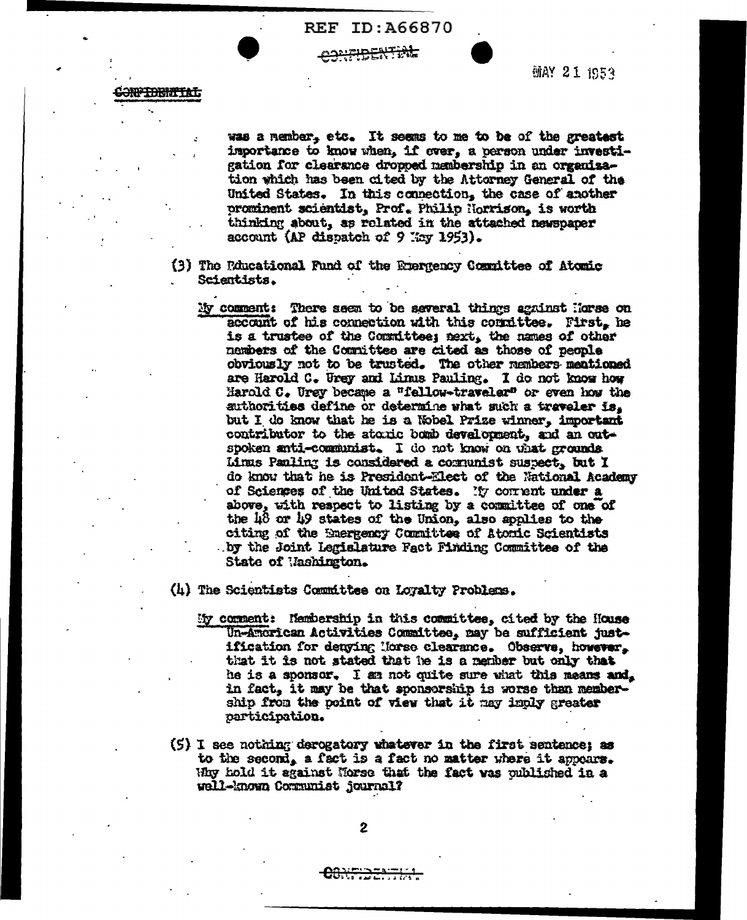**REF ID: 466870** 

## <del>iridential.</del>



**MAY 21 1953** 

was a member, etc. It seems to me to be of the greatest importance to know when, if ever, a person under investigation for clearance dropped membership in an organisation which has been cited by the Attorney General of the United States. In this connection, the case of another prominent scientist, Prof. Philip Norrison, is worth thinking about, as related in the attached newspaper account (AP dispatch of 9 Kay 1953).

- (3) The Rincational Fund of the Euergency Committee of Atomic Scientists.
	- My comment: There seem to be several things against Horse on account of his connection with this connittee. First, he is a trustee of the Committee; next, the names of other members of the Committee are cited as those of people obviously not to be trusted. The other members mentioned are Harold C. Urey and Linus Pauling. I do not know how Marold C. Urey became a "fallow-traveler" or even how the authorities define or determine what such a traveler is. but I do know that he is a Nobel Prize winner, important contributor to the atoxic bomb development, and an outspoken anti-communist. I do not know on what grounds Linus Panling is considered a comunist suspect, but I do know that he is President-Elect of the National Academy of Sciences of the United States. My corrent under a above, with respect to listing by a committee of one of the  $48$  or  $49$  states of the Union, also applies to the citing of the Emergency Committee of Atomic Scientists by the Joint Legislature Fact Pinding Committee of the State of Mashington.

(4) The Scientists Committee on Loyalty Problems.

- My comment: Nembership in this committee, cited by the House Un-American Activities Committee, may be sufficient justification for denying Morse clearance. Observe, however, that it is not stated that he is a nember but only that he is a sponsor. I an not quite sure what this means and. in fact, it may be that sponsorship is worse than membership from the point of view that it may imply greater participation.
- (5) I see nothing derogatory whatever in the first sentence; as to the second, a fact is a fact no matter where it appears. Why hold it against Morse that the fact was published in a well-known Communist journal?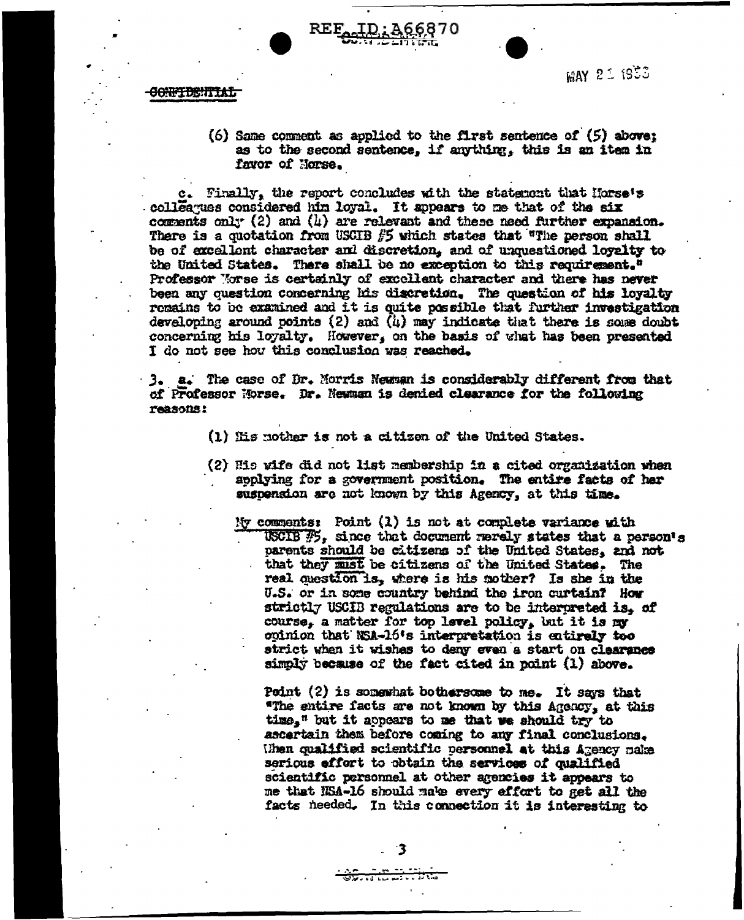

**MAY 21 1953** 

#### **CONFIDENTIAL**

(6) Same comment as applied to the first sentence of  $(5)$  above: as to the second sentence, if anything, this is an item in favor of Horse.

c. Finally, the report concludes with the statement that Horse's colleagues considered him loyal. It appears to me that of the six comments only (2) and (4) are relevant and these need further expansion. There is a quotation from USCIB  $f$ 5 which states that "The person shall be of excellent character and discretion, and of unquestioned loyalty to the United States. There shall be no exception to this requirement." Professor Morse is certainly of excollent character and there has never been any question concerning his discretion. The question of his loyalty remains to be examined and it is quite possible that further investigation developing around points  $(2)$  and  $(i)$  may indicate that there is some doubt concerning his loyalty. However, on the basis of what has been presented I do not see how this conclusion was reached.

3. a. The case of Dr. Morris Newman is considerably different from that of Professor Morse. Dr. Newman is denied clearance for the following reasons:

- (1) His nother is not a citizen of the United States.
- (2) His wife did not list nembership in a cited organization when applying for a government position. The entire facts of her suspension are not known by this Agency, at this time.
	- Ny comments: Point  $(1)$  is not at complete variance with USCIB  $\mathcal{F}_2$ , since that document merely states that a person's parents should be citizens of the United States, and not that they must be citizens of the United States. The real question is, where is his mother? Is she in the U.S. or in some country behind the iron curtain? How strictly USCIB regulations are to be interpreted is. of course, a matter for top level policy, but it is my opinion that NSA-16's interpretation is entirely too strict when it wishes to deny even a start on clearance simply because of the fact cited in point (1) above.

Point (2) is somewhat bothersome to me. It says that "The entire facts are not known by this Agency, at this time," but it appears to me that we should try to ascertain them before coming to any final conclusions. When qualified scientific personnel at this Agency make serious effort to obtain the services of qualified scientific personnel at other agencies it appears to me that NSA-16 should make every effort to get all the facts needed. In this connection it is interesting to

جبيب 33. . . . <del>. . . .</del>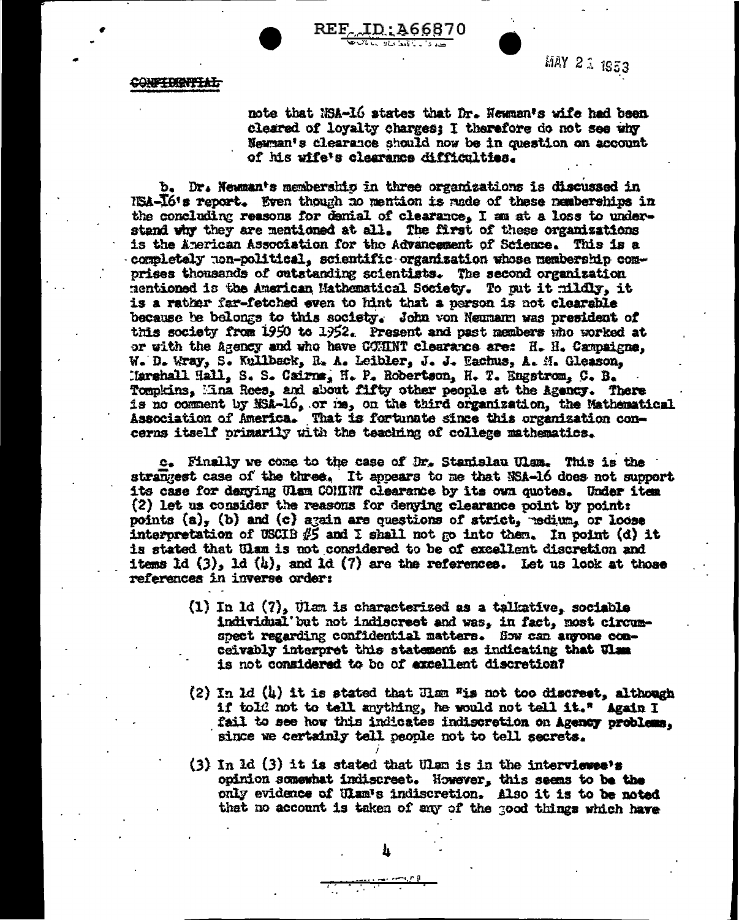

REF. ID: 466870

MAY 21 1953

CONFIDENTIAL

note that NSA-16 states that Dr. Newman's wife had been cleared of loyalty charges; I therefore do not see why Newman's clearance should now be in question on account of his wife's clearance difficulties.

b. Dr. Newman's membership in three organizations is discussed in NSA-16's report. Even though no mention is rade of these nemberships in the concluding reasons for denial of clearance, I am at a loss to understand why they are mentioned at all. The first of these organizations is the American Association for the Advancement of Science. This is a completely non-political, scientific organization whose membership comprises thousands of outstanding scientists. The second organization mentioned is the American Mathematical Society. To put it mildly, it is a rather far-fetched even to hint that a person is not clearable because be belongs to this society. John von Neumann was president of this society from 1950 to 1952. Present and past members who worked at or with the Agency and who have COMINT clearance are: H. H. Campaigne. W. D. Wray, S. Kullback, R. A. Leibler, J. J. Eachus, A. M. Gleason, Marshall Hall, S. S. Cairns, H. P. Robertson, H. T. Engstrom, C. B. Tompkins, Mina Rees, and about fifty other people at the Agency. There is no comment by NSA-16, or ma, on the third organization, the Mathematical Association of America. That is fortunate since this organization concerns itself primarily with the teaching of college mathematics.

c. Finally we come to the case of Dr. Stanislau Ulam. This is the strangest case of the three. It appears to me that NSA-16 does not support its case for denying Ulam COMINT clearance by its own quotes. Under item (2) let us consider the reasons for denying clearance point by point: points  $(a)$ ,  $(b)$  and  $(c)$  again are questions of strict, redium, or loose interpretation of USCIB  $\beta$  and I shall not go into them. In point (d) it is stated that Ulam is not considered to be of excellent discretion and items ld  $(3)$ , ld  $(4)$ , and ld  $(7)$  are the references. Let us look at those references in inverse order:

- (1) In 1d (7), Ulan is characterized as a talkative, sociable individual but not indiscreet and was, in fact, most circumspect regarding confidential matters. How can anyone conceivably interpret this statement as indicating that Ulam is not considered to be of excellent discretion?
- (2) In 1d (4) it is stated that Ham "is not too discreet, although if told not to tell anything, he would not tell it." Again I fail to see how this indicates indiscretion on Agency problems. since we certainly tell people not to tell secrets.
- (3) In 1d (3) it is stated that Ulan is in the interviewee's opinion somewhat indiscreet. However, this seems to be the only evidence of Ulam's indiscretion. Also it is to be noted that no account is taken of any of the good things which have

 $\cdots$  and  $\mathbf{r}$  is a set of  $\mathbf{r}$